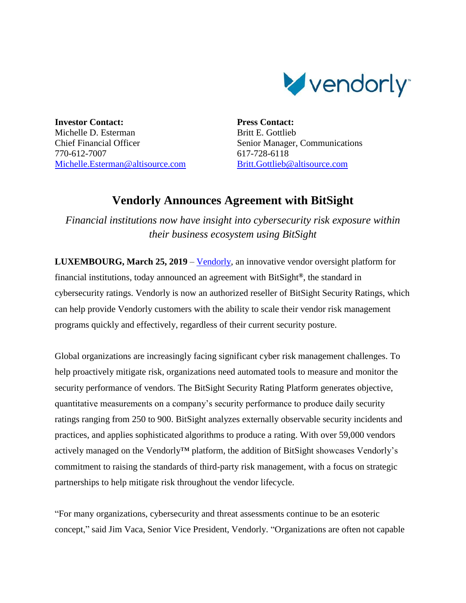

**Investor Contact:** Michelle D. Esterman Chief Financial Officer 770-612-7007 [Michelle.Esterman@altisource.com](mailto:Michelle.Esterman@altisource.com) **Press Contact:** Britt E. Gottlieb Senior Manager, Communications 617-728-6118 [Britt.Gottlieb@altisource.com](mailto:Britt.Gottlieb@altisource.com)

## **Vendorly Announces Agreement with BitSight**

*Financial institutions now have insight into cybersecurity risk exposure within their business ecosystem using BitSight*

**LUXEMBOURG, March 25, 2019** – [Vendorly,](https://www.vendorly.com/?utm_source=globenewswire&utm_medium=press%20coverage&utm_campaign=190325-PRL-vendorlybitsight&utm_content=first%20link) an innovative vendor oversight platform for financial institutions, today announced an agreement with BitSight**®**, the standard in cybersecurity ratings. Vendorly is now an authorized reseller of BitSight Security Ratings, which can help provide Vendorly customers with the ability to scale their vendor risk management programs quickly and effectively, regardless of their current security posture.

Global organizations are increasingly facing significant cyber risk management challenges. To help proactively mitigate risk, organizations need automated tools to measure and monitor the security performance of vendors. The BitSight Security Rating Platform generates objective, quantitative measurements on a company's security performance to produce daily security ratings ranging from 250 to 900. BitSight analyzes externally observable security incidents and practices, and applies sophisticated algorithms to produce a rating. With over 59,000 vendors actively managed on the Vendorly™ platform, the addition of BitSight showcases Vendorly's commitment to raising the standards of third-party risk management, with a focus on strategic partnerships to help mitigate risk throughout the vendor lifecycle.

"For many organizations, cybersecurity and threat assessments continue to be an esoteric concept," said Jim Vaca, Senior Vice President, Vendorly. "Organizations are often not capable